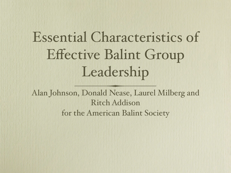# Essential Characteristics of Effective Balint Group Leadership

Alan Johnson, Donald Nease, Laurel Milberg and Ritch Addison for the American Balint Society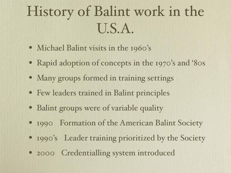# History of Balint work in the U.S.A.

- Michael Balint visits in the 1960's
- Rapid adoption of concepts in the 1970's and '80s
- Many groups formed in training settings
- Few leaders trained in Balint principles
- Balint groups were of variable quality
- 1990 Formation of the American Balint Society
- 1990's Leader training prioritized by the Society
- 2000 Credentialling system introduced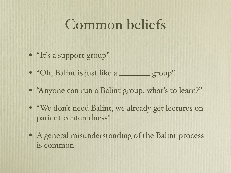### Common beliefs

- "It's a support group"
- "Oh, Balint is just like a \_\_\_\_\_\_\_ group"
- "Anyone can run a Balint group, what's to learn?"
- "We don't need Balint, we already get lectures on patient-centeredness"
- A general misunderstanding of the Balint process is common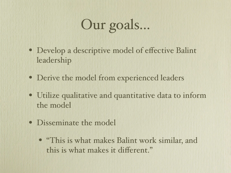# Our goals...

- Develop a descriptive model of effective Balint leadership
- Derive the model from experienced leaders
- Utilize qualitative and quantitative data to inform the model
- Disseminate the model
	- "This is what makes Balint work similar, and this is what makes it different."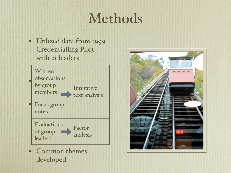### Methods

• Utilized data from 1999 Credentialling Pilot with 21 leaders



• Common themes developed

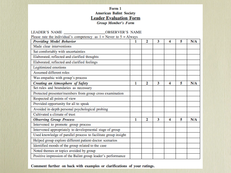#### Form 1 **American Balint Society Leader Evaluation Form Group Member's Form**

| <b>LEADER'S NAME</b><br><b>OBSERVER'S NAME</b>                         |   |   |   |   |   |     |
|------------------------------------------------------------------------|---|---|---|---|---|-----|
| Please rate the individual's competency as $1 =$ Never to $5 =$ Always |   |   |   |   |   |     |
| <b>Providing Model Behavior</b>                                        | 1 | 2 | 3 | 4 | 5 | N/A |
| Made clear interventions                                               |   |   |   |   |   |     |
| Sat comfortably with uncertainties                                     |   |   |   |   |   |     |
| Elaborated, reflected and clarified thoughts                           |   |   |   |   |   |     |
| Elaborated, reflected and clarified feelings                           |   |   |   |   |   |     |
| Legitimized emotions                                                   |   |   |   |   |   |     |
| Assumed different roles                                                |   |   |   |   |   |     |
| Was empathic with group's process                                      |   |   |   |   |   |     |
| Creating an Atmosphere of Safety                                       | 1 | 2 | 3 | 4 | 5 | N/A |
| Set rules and boundaries as necessary                                  |   |   |   |   |   |     |
| Protected presenter/members from group cross examination               |   |   |   |   |   |     |
| Respected all points of view                                           |   |   |   |   |   |     |
| Provided opportunity for all to speak                                  |   |   |   |   |   |     |
| Avoided in-depth personal psychological probing                        |   |   |   |   |   |     |
| Cultivated a climate of trust                                          |   |   |   |   |   |     |
| <b>Observing Group Process</b>                                         | 1 | 2 | 3 | 4 | 5 | N/A |
| Intervened to promote group process                                    |   |   |   |   |   |     |
| Intervened appropriately to developmental stage of group               |   |   |   |   |   |     |
| Used knowledge of parallel process to facilitate group insight         |   |   |   |   |   |     |
| Helped group explore different patient-doctor scenarios                |   |   |   |   |   |     |
| Identified moods of the group related to the case                      |   |   |   |   |   |     |
| Noted themes or topics avoided by group                                |   |   |   |   |   |     |
| Positive impression of the Balint group leader's performance           |   |   |   |   |   |     |

Comment further on back with examples or clarifications of your ratings.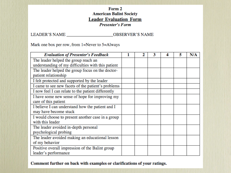#### Form 2 **American Balint Society Leader Evaluation Form Presenter's Form**

LEADER'S NAME \_\_\_\_\_\_\_\_\_\_\_\_\_\_\_\_\_\_\_\_\_\_\_\_\_\_\_\_\_\_\_\_OBSERVER'S NAME

Mark one box per row, from 1=Never to 5=Always

| <b>Evaluation of Presenter's Feedback</b>          | 2 | 3 | 4 | 5 | N/A |
|----------------------------------------------------|---|---|---|---|-----|
| The leader helped the group reach an               |   |   |   |   |     |
| understanding of my difficulties with this patient |   |   |   |   |     |
| The leader helped the group focus on the doctor-   |   |   |   |   |     |
| patient relationship                               |   |   |   |   |     |
| I felt protected and supported by the leader       |   |   |   |   |     |
| I came to see new facets of the patient's problems |   |   |   |   |     |
| I now feel I can relate to the patient differently |   |   |   |   |     |
| I have some new sense of hope for improving my     |   |   |   |   |     |
| care of this patient                               |   |   |   |   |     |
| I believe I can understand how the patient and I   |   |   |   |   |     |
| may have become stuck                              |   |   |   |   |     |
| I would choose to present another case in a group  |   |   |   |   |     |
| with this leader                                   |   |   |   |   |     |
| The leader avoided in-depth personal               |   |   |   |   |     |
| psychological probing                              |   |   |   |   |     |
| The leader avoided making an educational lesson    |   |   |   |   |     |
| of my behavior                                     |   |   |   |   |     |
| Positive overall impression of the Balint group    |   |   |   |   |     |
| leader's performance                               |   |   |   |   |     |

Comment further on back with examples or clarifications of your ratings.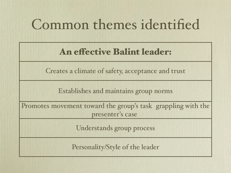### Common themes identified

### An effective Balint leader:

Creates a climate of safety, acceptance and trust

Establishes and maintains group norms

Promotes movement toward the group's task (grappling with the presenter's case)

Understands group process

Personality/Style of the leader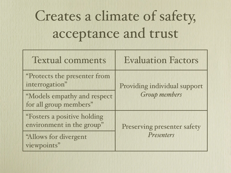# Creates a climate of safety, acceptance and trust

| <b>Textual comments</b>                                  | <b>Evaluation Factors</b>    |
|----------------------------------------------------------|------------------------------|
| "Protects the presenter from<br>interrogation"           | Providing individual support |
| "Models empathy and respect<br>for all group members"    | <b>Group members</b>         |
| "Fosters a positive holding<br>environment in the group" | Preserving presenter safety  |
| "Allows for divergent"<br>viewpoints"                    | Presenters                   |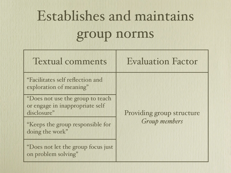# Establishes and maintains group norms

| <b>Textual comments</b>                                                             | <b>Evaluation Factor</b>  |
|-------------------------------------------------------------------------------------|---------------------------|
| "Facilitates self reflection and<br>exploration of meaning"                         |                           |
| "Does not use the group to teach<br>or engage in inappropriate self-<br>disclosure" | Providing group structure |
| "Keeps the group responsible for<br>doing the work"                                 | <b>Group</b> members      |
| "Does not let the group focus just<br>on problem solving"                           |                           |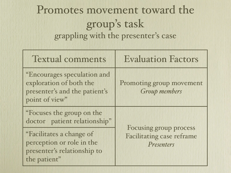### Promotes movement toward the group's task (grappling with the presenter's case)

| <b>Textual comments</b>                                                                                   | <b>Evaluation Factors</b>                                         |
|-----------------------------------------------------------------------------------------------------------|-------------------------------------------------------------------|
| "Encourages speculation and<br>exploration of both the<br>presenter's and the patient's<br>point of view" | Promoting group movement<br><b>Group</b> members                  |
| "Focuses the group on the<br>doctor - patient relationship"                                               |                                                                   |
| "Facilitates a change of<br>perception or role in the<br>presenter's relationship to<br>the patient"      | Focusing group process<br>Facilitating case reframe<br>Presenters |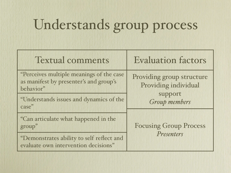## Understands group process

| <b>Textual comments</b>                                                                          | <b>Evaluation factors</b>                         |
|--------------------------------------------------------------------------------------------------|---------------------------------------------------|
| "Perceives multiple meanings of the case"<br>as manifest by presenter's and group's<br>behavior" | Providing group structure<br>Providing individual |
| "Understands issues and dynamics of the<br>case"                                                 | support<br><b>Group members</b>                   |
| "Can articulate what happened in the<br>group"                                                   | <b>Focusing Group Process</b>                     |
| "Demonstrates ability to self-reflect and<br>evaluate own intervention decisions"                | Presenters                                        |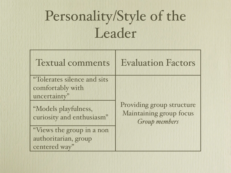## Personality/Style of the Leader

| <b>Textual comments</b>                           | <b>Evaluation Factors</b>                                             |
|---------------------------------------------------|-----------------------------------------------------------------------|
| "Tolerates silence and sits<br>comfortably with   |                                                                       |
| uncertainty"                                      |                                                                       |
| "Models playfulness,<br>curiosity and enthusiasm" | Providing group structure<br>Maintaining group focus<br>Group members |
| "Views the group in a non-                        |                                                                       |
| authoritarian, group-                             |                                                                       |
| centered way"                                     |                                                                       |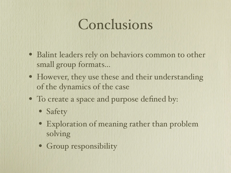### Conclusions

- Balint leaders rely on behaviors common to other small group formats...
- However, they use these and their understanding of the dynamics of the case
- To create a space and purpose defined by:
	- Safety
	- Exploration of meaning rather than problem solving
	- Group responsibility